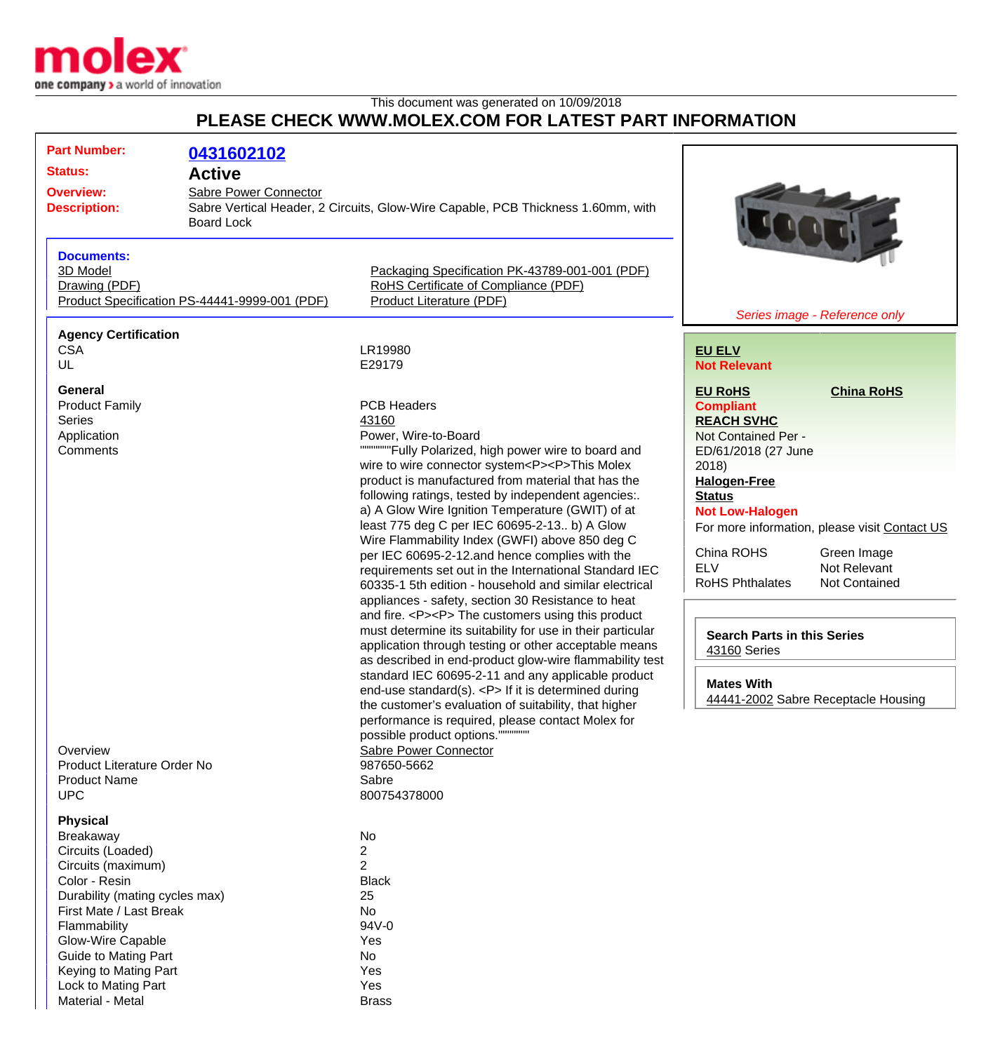

This document was generated on 10/09/2018

## **PLEASE CHECK WWW.MOLEX.COM FOR LATEST PART INFORMATION**

| <b>Part Number:</b><br><b>Status:</b><br><b>Active</b><br><b>Overview:</b><br><b>Description:</b>                                                                                                                                                                                             | 0431602102<br>Sabre Power Connector<br>Sabre Vertical Header, 2 Circuits, Glow-Wire Capable, PCB Thickness 1.60mm, with<br><b>Board Lock</b>                                                                                                                                                                                                                                                                                                                                                                                                                                                                                                                                                                                                                                                                                                                                                                                                                                                                                                                                                                                                                                                                                                                             |                                                                                                                                                                                                                                                                                                                                                                                                                                                                                |  |
|-----------------------------------------------------------------------------------------------------------------------------------------------------------------------------------------------------------------------------------------------------------------------------------------------|--------------------------------------------------------------------------------------------------------------------------------------------------------------------------------------------------------------------------------------------------------------------------------------------------------------------------------------------------------------------------------------------------------------------------------------------------------------------------------------------------------------------------------------------------------------------------------------------------------------------------------------------------------------------------------------------------------------------------------------------------------------------------------------------------------------------------------------------------------------------------------------------------------------------------------------------------------------------------------------------------------------------------------------------------------------------------------------------------------------------------------------------------------------------------------------------------------------------------------------------------------------------------|--------------------------------------------------------------------------------------------------------------------------------------------------------------------------------------------------------------------------------------------------------------------------------------------------------------------------------------------------------------------------------------------------------------------------------------------------------------------------------|--|
| <b>Documents:</b><br>3D Model<br>Drawing (PDF)<br>Product Specification PS-44441-9999-001 (PDF)                                                                                                                                                                                               | Packaging Specification PK-43789-001-001 (PDF)<br>RoHS Certificate of Compliance (PDF)<br>Product Literature (PDF)                                                                                                                                                                                                                                                                                                                                                                                                                                                                                                                                                                                                                                                                                                                                                                                                                                                                                                                                                                                                                                                                                                                                                       | Series image - Reference only                                                                                                                                                                                                                                                                                                                                                                                                                                                  |  |
| <b>Agency Certification</b><br><b>CSA</b><br>UL                                                                                                                                                                                                                                               | LR19980<br>E29179                                                                                                                                                                                                                                                                                                                                                                                                                                                                                                                                                                                                                                                                                                                                                                                                                                                                                                                                                                                                                                                                                                                                                                                                                                                        | <b>EU ELV</b><br><b>Not Relevant</b>                                                                                                                                                                                                                                                                                                                                                                                                                                           |  |
| <b>General</b><br><b>Product Family</b><br><b>Series</b><br>Application<br>Comments<br>Overview<br>Product Literature Order No<br><b>Product Name</b><br><b>UPC</b>                                                                                                                           | <b>PCB Headers</b><br>43160<br>Power, Wire-to-Board<br>""""""Fully Polarized, high power wire to board and<br>wire to wire connector system <p><p>This Molex<br/>product is manufactured from material that has the<br/>following ratings, tested by independent agencies:.<br/>a) A Glow Wire Ignition Temperature (GWIT) of at<br/>least 775 deg C per IEC 60695-2-13 b) A Glow<br/>Wire Flammability Index (GWFI) above 850 deg C<br/>per IEC 60695-2-12.and hence complies with the<br/>requirements set out in the International Standard IEC<br/>60335-1 5th edition - household and similar electrical<br/>appliances - safety, section 30 Resistance to heat<br/>and fire. <p><p> The customers using this product<br/>must determine its suitability for use in their particular<br/>application through testing or other acceptable means<br/>as described in end-product glow-wire flammability test<br/>standard IEC 60695-2-11 and any applicable product<br/>end-use standard(s). <p> If it is determined during<br/>the customer's evaluation of suitability, that higher<br/>performance is required, please contact Molex for<br/>possible product options."""<br/>Sabre Power Connector<br/>987650-5662<br/>Sabre<br/>800754378000</p></p></p></p></p> | <b>China RoHS</b><br><b>EU RoHS</b><br><b>Compliant</b><br><b>REACH SVHC</b><br>Not Contained Per -<br>ED/61/2018 (27 June<br>2018)<br><b>Halogen-Free</b><br><b>Status</b><br><b>Not Low-Halogen</b><br>For more information, please visit Contact US<br>China ROHS<br>Green Image<br><b>ELV</b><br>Not Relevant<br>Not Contained<br><b>RoHS Phthalates</b><br><b>Search Parts in this Series</b><br>43160 Series<br><b>Mates With</b><br>44441-2002 Sabre Receptacle Housing |  |
| <b>Physical</b><br>Breakaway<br>Circuits (Loaded)<br>Circuits (maximum)<br>Color - Resin<br>Durability (mating cycles max)<br>First Mate / Last Break<br>Flammability<br>Glow-Wire Capable<br><b>Guide to Mating Part</b><br>Keying to Mating Part<br>Lock to Mating Part<br>Material - Metal | No<br>2<br>$\overline{2}$<br><b>Black</b><br>25<br>No<br>94V-0<br>Yes<br>No<br>Yes<br>Yes<br><b>Brass</b>                                                                                                                                                                                                                                                                                                                                                                                                                                                                                                                                                                                                                                                                                                                                                                                                                                                                                                                                                                                                                                                                                                                                                                |                                                                                                                                                                                                                                                                                                                                                                                                                                                                                |  |